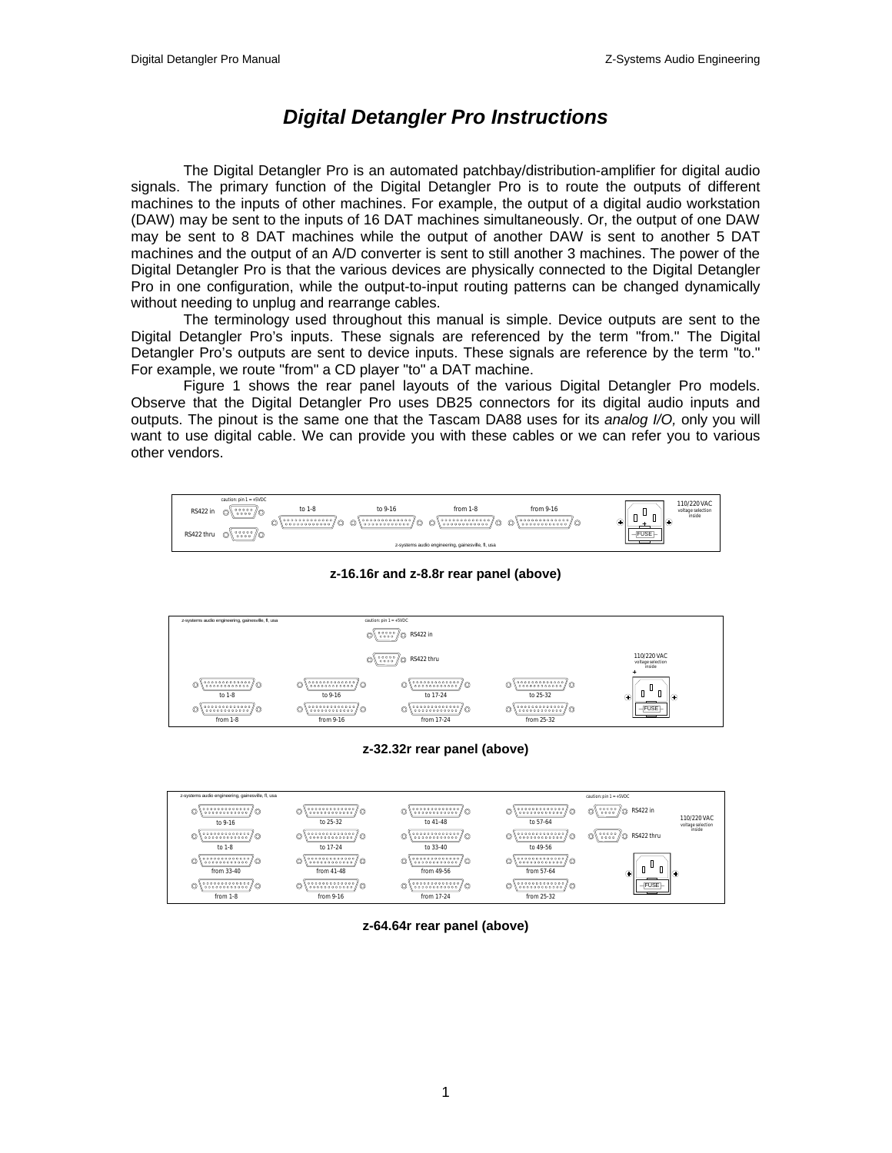## *Digital Detangler Pro Instructions*

The Digital Detangler Pro is an automated patchbay/distribution-amplifier for digital audio signals. The primary function of the Digital Detangler Pro is to route the outputs of different machines to the inputs of other machines. For example, the output of a digital audio workstation (DAW) may be sent to the inputs of 16 DAT machines simultaneously. Or, the output of one DAW may be sent to 8 DAT machines while the output of another DAW is sent to another 5 DAT machines and the output of an A/D converter is sent to still another 3 machines. The power of the Digital Detangler Pro is that the various devices are physically connected to the Digital Detangler Pro in one configuration, while the output-to-input routing patterns can be changed dynamically without needing to unplug and rearrange cables.

The terminology used throughout this manual is simple. Device outputs are sent to the Digital Detangler Pro's inputs. These signals are referenced by the term "from." The Digital Detangler Pro's outputs are sent to device inputs. These signals are reference by the term "to." For example, we route "from" a CD player "to" a DAT machine.

Figure 1 shows the rear panel layouts of the various Digital Detangler Pro models. Observe that the Digital Detangler Pro uses DB25 connectors for its digital audio inputs and outputs. The pinout is the same one that the Tascam DA88 uses for its *analog I/O,* only you will want to use digital cable. We can provide you with these cables or we can refer you to various other vendors.



**z-16.16r and z-8.8r rear panel (above)**



**z-32.32r rear panel (above)**



**z-64.64r rear panel (above)**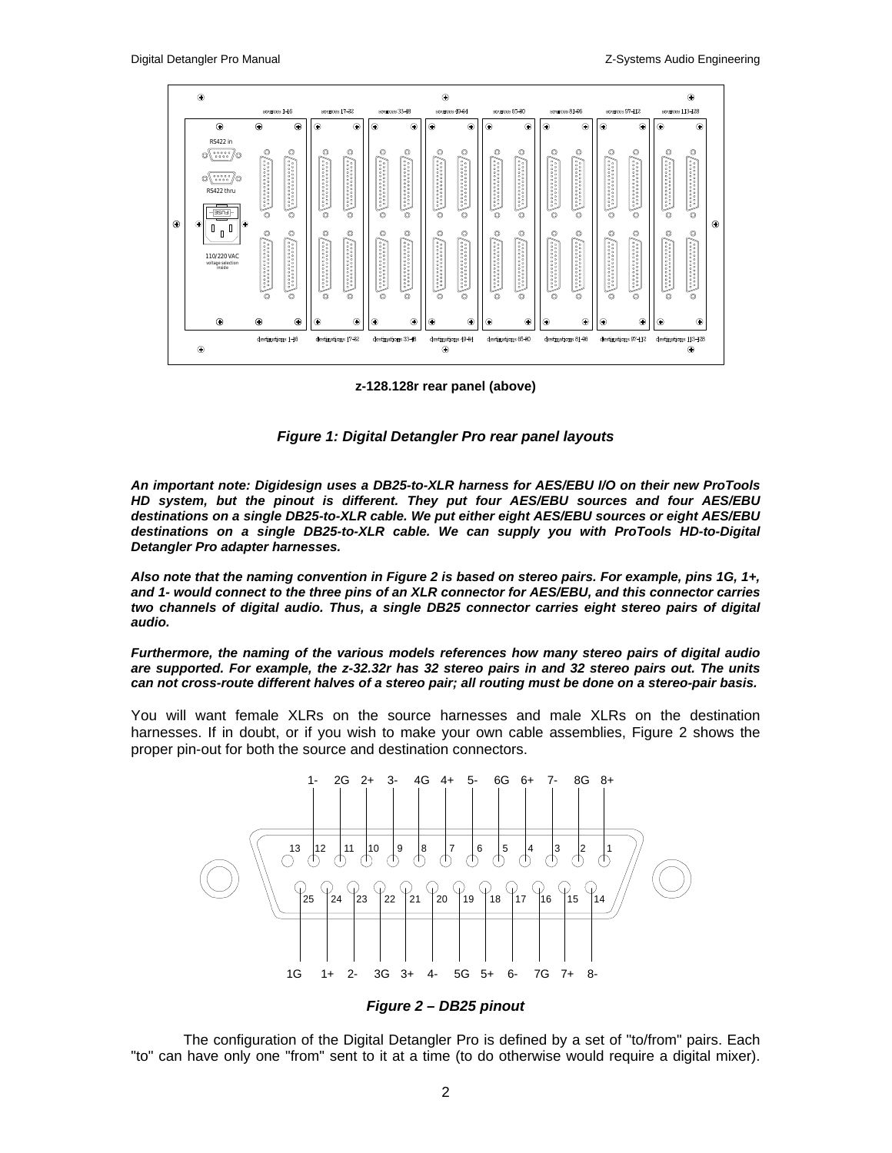

**z-128.128r rear panel (above)**

*Figure 1: Digital Detangler Pro rear panel layouts*

*An important note: Digidesign uses a DB25-to-XLR harness for AES/EBU I/O on their new ProTools HD system, but the pinout is different. They put four AES/EBU sources and four AES/EBU destinations on a single DB25-to-XLR cable. We put either eight AES/EBU sources or eight AES/EBU destinations on a single DB25-to-XLR cable. We can supply you with ProTools HD-to-Digital Detangler Pro adapter harnesses.*

*Also note that the naming convention in Figure 2 is based on stereo pairs. For example, pins 1G, 1+, and 1- would connect to the three pins of an XLR connector for AES/EBU, and this connector carries two channels of digital audio. Thus, a single DB25 connector carries eight stereo pairs of digital audio.*

*Furthermore, the naming of the various models references how many stereo pairs of digital audio are supported. For example, the z-32.32r has 32 stereo pairs in and 32 stereo pairs out. The units can not cross-route different halves of a stereo pair; all routing must be done on a stereo-pair basis.*

You will want female XLRs on the source harnesses and male XLRs on the destination harnesses. If in doubt, or if you wish to make your own cable assemblies, Figure 2 shows the proper pin-out for both the source and destination connectors.



*Figure 2 – DB25 pinout*

The configuration of the Digital Detangler Pro is defined by a set of "to/from" pairs. Each "to" can have only one "from" sent to it at a time (to do otherwise would require a digital mixer).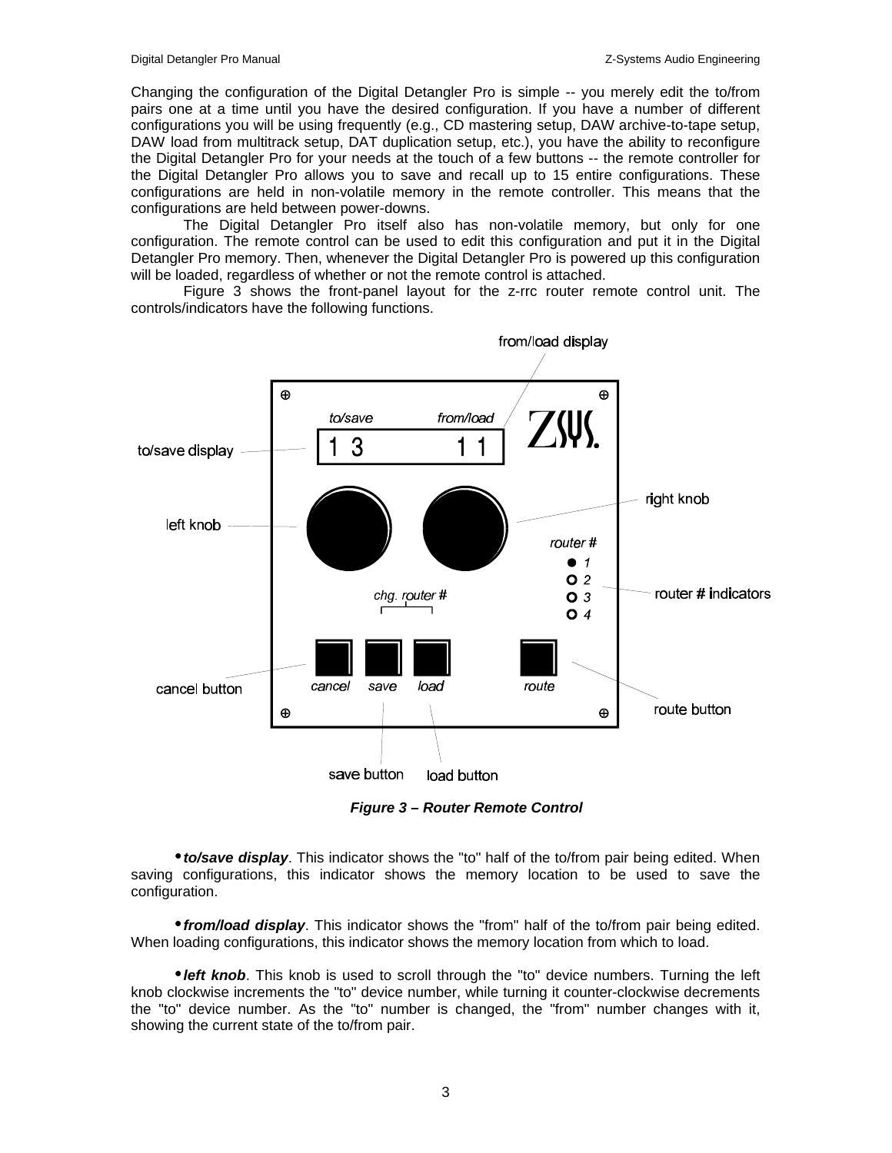Changing the configuration of the Digital Detangler Pro is simple -- you merely edit the to/from pairs one at a time until you have the desired configuration. If you have a number of different configurations you will be using frequently (e.g., CD mastering setup, DAW archive-to-tape setup, DAW load from multitrack setup, DAT duplication setup, etc.), you have the ability to reconfigure the Digital Detangler Pro for your needs at the touch of a few buttons -- the remote controller for the Digital Detangler Pro allows you to save and recall up to 15 entire configurations. These configurations are held in non-volatile memory in the remote controller. This means that the configurations are held between power-downs.

The Digital Detangler Pro itself also has non-volatile memory, but only for one configuration. The remote control can be used to edit this configuration and put it in the Digital Detangler Pro memory. Then, whenever the Digital Detangler Pro is powered up this configuration will be loaded, regardless of whether or not the remote control is attached.

Figure 3 shows the front-panel layout for the z-rrc router remote control unit. The controls/indicators have the following functions.



*Figure 3 – Router Remote Control*

• *to/save display*. This indicator shows the "to" half of the to/from pair being edited. When saving configurations, this indicator shows the memory location to be used to save the configuration.

• *from/load display*. This indicator shows the "from" half of the to/from pair being edited. When loading configurations, this indicator shows the memory location from which to load.

• *left knob*. This knob is used to scroll through the "to" device numbers. Turning the left knob clockwise increments the "to" device number, while turning it counter-clockwise decrements the "to" device number. As the "to" number is changed, the "from" number changes with it, showing the current state of the to/from pair.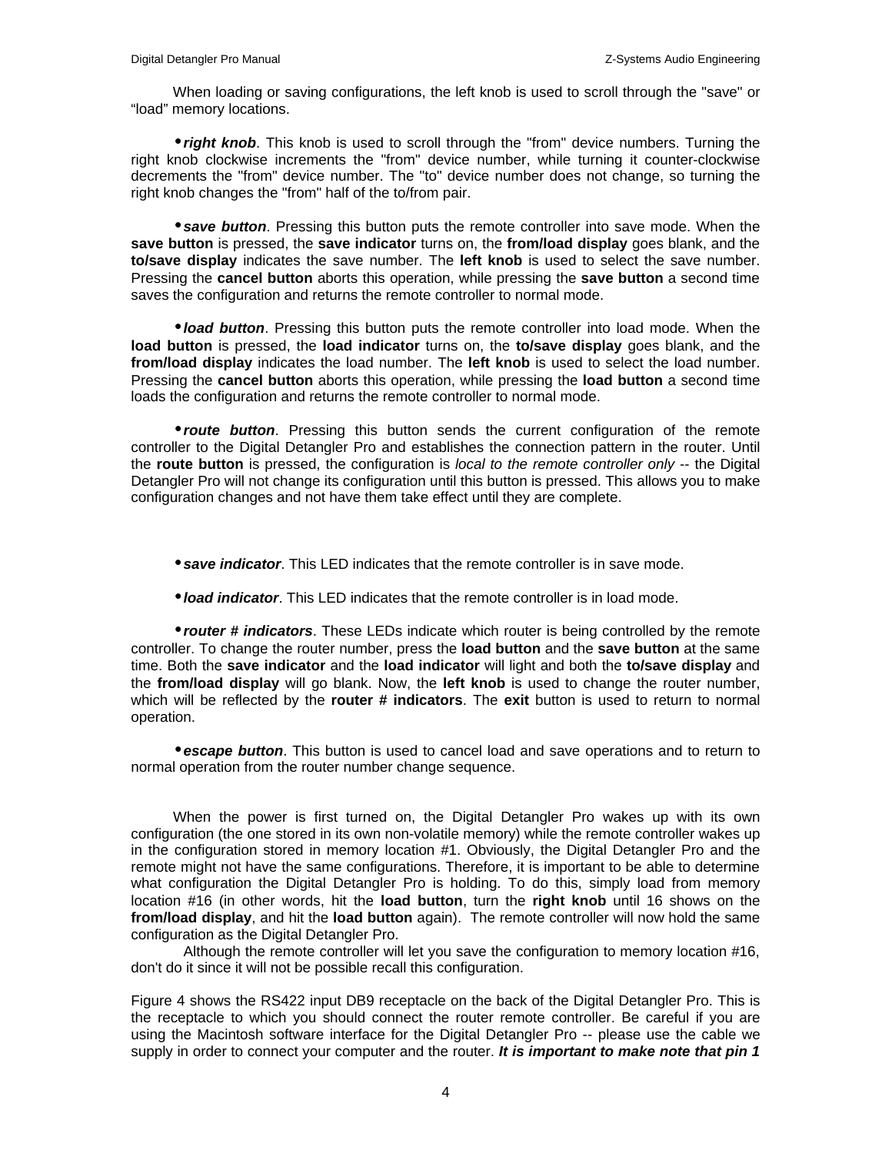When loading or saving configurations, the left knob is used to scroll through the "save" or "load" memory locations.

• *right knob*. This knob is used to scroll through the "from" device numbers. Turning the right knob clockwise increments the "from" device number, while turning it counter-clockwise decrements the "from" device number. The "to" device number does not change, so turning the right knob changes the "from" half of the to/from pair.

• *save button*. Pressing this button puts the remote controller into save mode. When the **save button** is pressed, the **save indicator** turns on, the **from/load display** goes blank, and the **to/save display** indicates the save number. The **left knob** is used to select the save number. Pressing the **cancel button** aborts this operation, while pressing the **save button** a second time saves the configuration and returns the remote controller to normal mode.

• *load button*. Pressing this button puts the remote controller into load mode. When the **load button** is pressed, the **load indicator** turns on, the **to/save display** goes blank, and the **from/load display** indicates the load number. The **left knob** is used to select the load number. Pressing the **cancel button** aborts this operation, while pressing the **load button** a second time loads the configuration and returns the remote controller to normal mode.

• *route button*. Pressing this button sends the current configuration of the remote controller to the Digital Detangler Pro and establishes the connection pattern in the router. Until the **route button** is pressed, the configuration is *local to the remote controller only* -- the Digital Detangler Pro will not change its configuration until this button is pressed. This allows you to make configuration changes and not have them take effect until they are complete.

• *save indicator*. This LED indicates that the remote controller is in save mode.

• *load indicator*. This LED indicates that the remote controller is in load mode.

• *router # indicators*. These LEDs indicate which router is being controlled by the remote controller. To change the router number, press the **load button** and the **save button** at the same time. Both the **save indicator** and the **load indicator** will light and both the **to/save display** and the **from/load display** will go blank. Now, the **left knob** is used to change the router number, which will be reflected by the **router # indicators**. The **exit** button is used to return to normal operation.

• *escape button*. This button is used to cancel load and save operations and to return to normal operation from the router number change sequence.

When the power is first turned on, the Digital Detangler Pro wakes up with its own configuration (the one stored in its own non-volatile memory) while the remote controller wakes up in the configuration stored in memory location #1. Obviously, the Digital Detangler Pro and the remote might not have the same configurations. Therefore, it is important to be able to determine what configuration the Digital Detangler Pro is holding. To do this, simply load from memory location #16 (in other words, hit the **load button**, turn the **right knob** until 16 shows on the **from/load display**, and hit the **load button** again). The remote controller will now hold the same configuration as the Digital Detangler Pro.

Although the remote controller will let you save the configuration to memory location #16, don't do it since it will not be possible recall this configuration.

Figure 4 shows the RS422 input DB9 receptacle on the back of the Digital Detangler Pro. This is the receptacle to which you should connect the router remote controller. Be careful if you are using the Macintosh software interface for the Digital Detangler Pro -- please use the cable we supply in order to connect your computer and the router. *It is important to make note that pin 1*